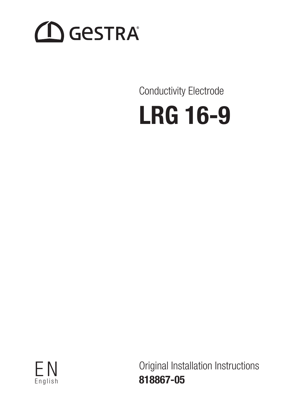# **CO** GESTRA

# Conductivity Electrode





Original Installation Instructions 818867-05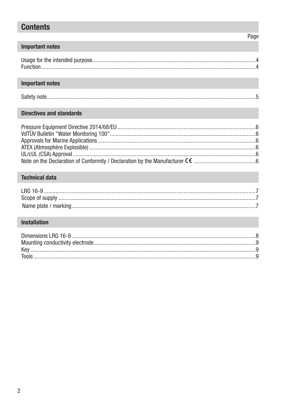# **Contents**

# Page

## **Important notes**

# **Important notes**

| Safety |  |
|--------|--|

## **Directives and standards**

# **Technical data**

# **Installation**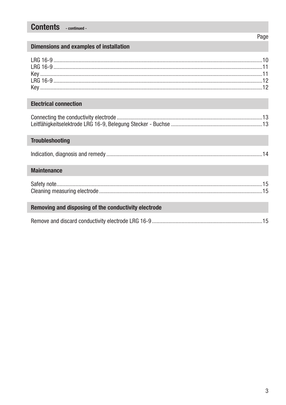# **Contents** - continued -

## Page

## **Dimensions and examples of installation**

## **Electrical connection**

## **Troubleshooting**

## **Maintenance**

## Removing and disposing of the conductivity electrode

|--|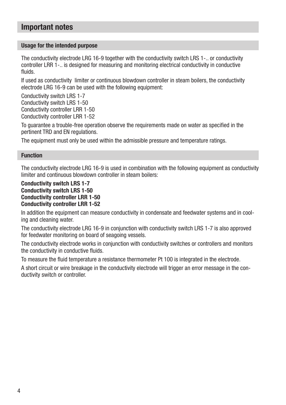# Important notes

#### Usage for the intended purpose

The conductivity electrode LRG 16-9 together with the conductivity switch LRS 1-.. or conductivity controller LRR 1-.. is designed for measuring and monitoring electrical conductivity in conductive fluids.

If used as conductivity limiter or continuous blowdown controller in steam boilers, the conductivity electrode LRG 16-9 can be used with the following equipment:

Conductivity switch LRS 1-7 Conductivity switch LRS 1-50 Conductivity controller LRR 1-50 Conductivity controller LRR 1-52

To guarantee a trouble-free operation observe the requirements made on water as specified in the pertinent TRD and EN regulations.

The equipment must only be used within the admissible pressure and temperature ratings.

#### Function

The conductivity electrode LRG 16-9 is used in combination with the following equipment as conductivity limiter and continuous blowdown controller in steam boilers:

#### Conductivity switch LRS 1-7 Conductivity switch LRS 1-50 Conductivity controller LRR 1-50 Conductivity controller LRR 1-52

In addition the equipment can measure conductivity in condensate and feedwater systems and in cooling and cleaning water.

The conductivity electrode LRG 16-9 in conjunction with conductivity switch LRS 1-7 is also approved for feedwater monitoring on board of seagoing vessels.

The conductivity electrode works in conjunction with conductivity switches or controllers and monitors the conductivity in conductive fluids.

To measure the fluid temperature a resistance thermometer Pt 100 is integrated in the electrode.

A short circuit or wire breakage in the conductivity electrode will trigger an error message in the conductivity switch or controller.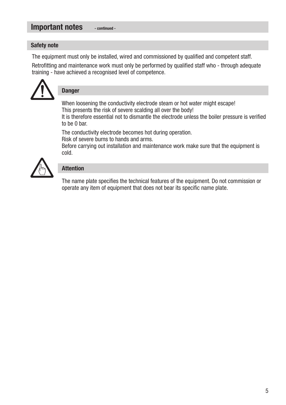#### Important notes - continued -

#### Safety note

The equipment must only be installed, wired and commissioned by qualified and competent staff.

Retrofitting and maintenance work must only be performed by qualified staff who - through adequate training - have achieved a recognised level of competence.



# Danger

When loosening the conductivity electrode steam or hot water might escape! This presents the risk of severe scalding all over the body!

It is therefore essential not to dismantle the electrode unless the boiler pressure is verified to be 0 bar.

The conductivity electrode becomes hot during operation. Risk of severe burns to hands and arms.

Before carrying out installation and maintenance work make sure that the equipment is cold.



## Attention

The name plate specifies the technical features of the equipment. Do not commission or operate any item of equipment that does not bear its specific name plate.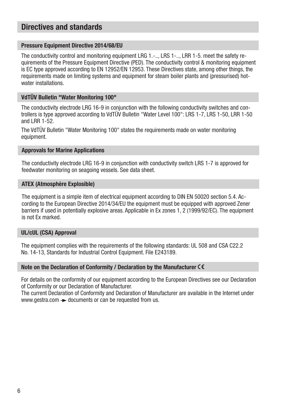# Directives and standards

#### Pressure Equipment Directive 2014/68/EU

The conductivity control and monitoring equipment LRG 1.-.., LRS 1-.., LRR 1-5. meet the safety requirements of the Pressure Equipment Directive (PED). The conductivity control & monitoring equipment is EC type approved according to EN 12952/EN 12953. These Directives state, among other things, the requirements made on limiting systems and equipment for steam boiler plants and (pressurised) hotwater installations.

#### VdTÜV Bulletin "Water Monitoring 100"

The conductivity electrode LRG 16-9 in conjunction with the following conductivity switches and controllers is type approved according to VdTÜV Bulletin "Water Level 100": LRS 1-7, LRS 1-50, LRR 1-50 and LRR 1-52.

The VdTÜV Bulletin "Water Monitoring 100" states the requirements made on water monitoring equipment.

#### Approvals for Marine Applications

The conductivity electrode LRG 16-9 in conjunction with conductivity switch LRS 1-7 is approved for feedwater monitoring on seagoing vessels. See data sheet.

#### ATEX (Atmosphère Explosible)

The equipment is a simple item of electrical equipment according to DIN EN 50020 section 5.4. According to the European Directive 2014/34/EU the equipment must be equipped with approved Zener barriers if used in potentially explosive areas. Applicable in Ex zones 1, 2 (1999/92/EC). The equipment is not Ex marked.

#### UL/cUL (CSA) Approval

The equipment complies with the requirements of the following standards: UL 508 and CSA C22.2 No. 14-13, Standards for Industrial Control Equipment. File E243189.

#### Note on the Declaration of Conformity / Declaration by the Manufacturer CE

For details on the conformity of our equipment according to the European Directives see our Declaration of Conformity or our Declaration of Manufacturer.

The current Declaration of Conformity and Declaration of Manufacturer are available in the Internet under www.gestra.com  $\rightarrow$  documents or can be requested from us.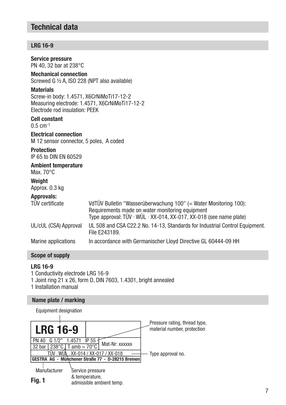# Technical data

## LRG 16-9

| <b>Service pressure</b><br>PN 40, 32 bar at 238°C                                              |                                                                                                                                                                                                       |
|------------------------------------------------------------------------------------------------|-------------------------------------------------------------------------------------------------------------------------------------------------------------------------------------------------------|
| <b>Mechanical connection</b><br>Screwed G 1/2 A, ISO 228 (NPT also available)                  |                                                                                                                                                                                                       |
| <b>Materials</b><br>Screw-in body: 1.4571, X6CrNiMoTi17-12-2<br>Flectrode rod insulation: PFFK | Measuring electrode: 1.4571, X6CrNiMoTi17-12-2                                                                                                                                                        |
| <b>Cell constant</b><br>$0.5 \, \text{cm}^{-1}$                                                |                                                                                                                                                                                                       |
| <b>Electrical connection</b><br>M 12 sensor connector, 5 poles, A coded                        |                                                                                                                                                                                                       |
| <b>Protection</b><br>IP 65 to DIN EN 60529                                                     |                                                                                                                                                                                                       |
| <b>Ambient temperature</b><br>Max. $70^{\circ}$ C                                              |                                                                                                                                                                                                       |
| Weight<br>Approx. 0.3 kg                                                                       |                                                                                                                                                                                                       |
| <b>Approvals:</b><br><b>TÜV</b> certificate                                                    | VdTÜV Bulletin "Wasserüberwachung 100" (= Water Monitoring 100):<br>Requirements made on water monitoring equipment<br>Type approval: TÜV $\cdot$ WÜL $\cdot$ XX-014, XX-017, XX-018 (see name plate) |
| UL/cUL (CSA) Approval                                                                          | UL 508 and CSA C22.2 No. 14-13, Standards for Industrial Control Equipment.<br>File F243189.                                                                                                          |
| Marine applications                                                                            | In accordance with Germanischer Lloyd Directive GL 60444-09 HH                                                                                                                                        |

## Scope of supply

## LRG 16-9

- 1 Conductivity electrode LRG 16-9
- 1 Joint ring 21 x 26, form D, DIN 7603, 1.4301, bright annealed
- 1 Installation manual

#### Name plate / marking

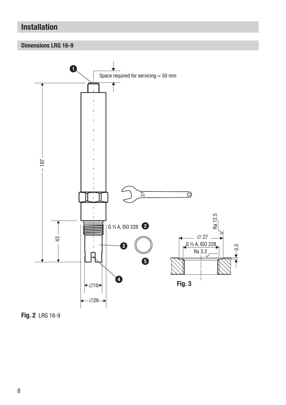# Installation

## Dimensions LRG 16-9



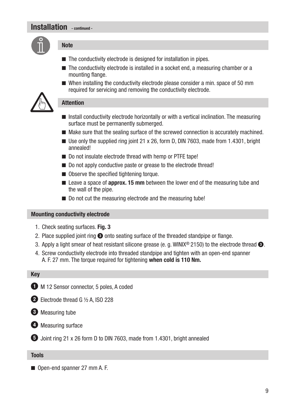# Installation continued -



#### **Note**

- $\blacksquare$  The conductivity electrode is designed for installation in pipes.
- $\blacksquare$  The conductivity electrode is installed in a socket end, a measuring chamber or a mounting flange.
- $\blacksquare$  When installing the conductivity electrode please consider a min. space of 50 mm required for servicing and removing the conductivity electrode.



#### Attention

- $\blacksquare$  Install conductivity electrode horizontally or with a vertical inclination. The measuring surface must be permanently submerged.
- $\blacksquare$  Make sure that the sealing surface of the screwed connection is accurately machined.
- **De** Use only the supplied ring joint 21 x 26, form D, DIN 7603, made from 1.4301, bright annealed!
- Do not insulate electrode thread with hemp or PTFE tape!
- Do not apply conductive paste or grease to the electrode thread!
- $\blacksquare$  Observe the specified tightening torque.
- $\blacksquare$  Leave a space of **approx. 15 mm** between the lower end of the measuring tube and the wall of the pipe.
- Do not cut the measuring electrode and the measuring tube!

#### Mounting conductivity electrode

- 1. Check seating surfaces. Fig. 3
- 2. Place supplied joint ring  $\odot$  onto seating surface of the threaded standpipe or flange.
- 3. Apply a light smear of heat resistant silicone grease (e. g. WINIX® 2150) to the electrode thread  $\bullet$ .
- 4. Screw conductivity electrode into threaded standpipe and tighten with an open-end spanner A. F. 27 mm. The torque required for tightening when cold is 110 Nm.

#### Key

 $\bullet$  M 12 Sensor connector, 5 poles, A coded

2 Electrode thread G 1/2 A, ISO 228

<sup>3</sup> Measuring tube



5 Joint ring 21 x 26 form D to DIN 7603, made from 1.4301, bright annealed

#### Tools

■ Open-end spanner 27 mm A. F.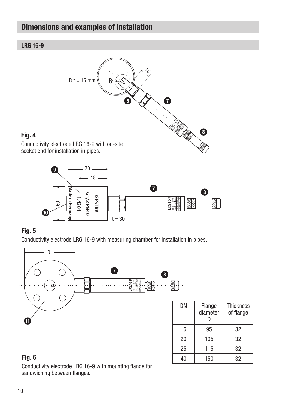# Dimensions and examples of installation





## Fig. 5

Conductivity electrode LRG 16-9 with measuring chamber for installation in pipes.



| DΝ | Flange<br>diameter<br>D | <b>Thickness</b><br>of flange |
|----|-------------------------|-------------------------------|
| 15 | 95                      | 32                            |
| 20 | 105                     | 32                            |
| 25 | 115                     | 32                            |
| 40 | 150                     | 32                            |

# Fig. 6

Conductivity electrode LRG 16-9 with mounting flange for sandwiching between flanges.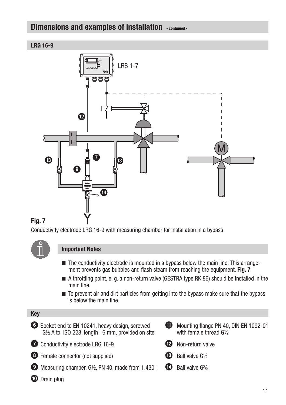# Dimensions and examples of installation - continued -

#### LRG 16-9



## Fig. 7

Conductivity electrode LRG 16-9 with measuring chamber for installation in a bypass



#### Important Notes

- $\blacksquare$  The conductivity electrode is mounted in a bypass below the main line. This arrangement prevents gas bubbles and flash steam from reaching the equipment. Fig. 7
- A throttling point, e. g. a non-return valve (GESTRA type RK 86) should be installed in the main line.
- n To prevent air and dirt particles from getting into the bypass make sure that the bypass is below the main line.

#### Key 6 Socket end to EN 10241, heavy design, screwed G½ A to ISO 228, length 16 mm, provided on site **2** Conductivity electrode LRG 16-9 8 Female connector (not supplied) 9 Measuring chamber, G½, PN 40, made from 1.4301 0 Drain plug **40** Mounting flange PN 40, DIN EN 1092-01 with female thread G½ **12** Non-return valve  $\bigcirc$  Ball valve G1/2  $\bigoplus$  Ball valve  $G^{3}/_8$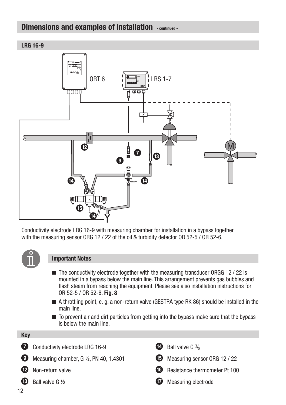# Dimensions and examples of installation - continued -

LRG 16-9



Conductivity electrode LRG 16-9 with measuring chamber for installation in a bypass together with the measuring sensor ORG 12 / 22 of the oil & turbidity detector OR 52-5 / OR 52-6.



#### Important Notes

- $\blacksquare$  The conductivity electrode together with the measuring transducer ORGG 12 / 22 is mounted in a bypass below the main line. This arrangement prevents gas bubbles and flash steam from reaching the equipment. Please see also installation instructions for OR 52-5 / OR 52-6. Fig. 8
- A throttling point, e. g. a non-return valve (GESTRA type RK 86) should be installed in the main line.
- $\blacksquare$  To prevent air and dirt particles from getting into the bypass make sure that the bypass is below the main line.

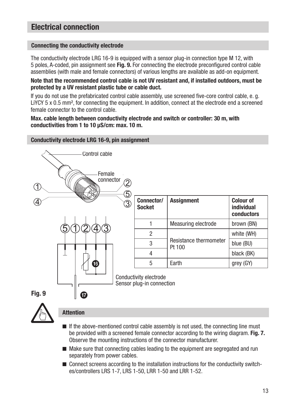# Electrical connection

#### Connecting the conductivity electrode

The conductivity electrode LRG 16-9 is equipped with a sensor plug-in connection type M 12, with 5 poles, A-coded, pin assignment see Fig. 9. For connecting the electrode preconfigured control cable assemblies (with male and female connectors) of various lengths are available as add-on equipment.

Note that the recommended control cable is not UV resistant and, if installed outdoors, must be protected by a UV resistant plastic tube or cable duct.

If you do not use the prefabricated control cable assembly, use screened five-core control cable, e. g. LiYCY 5 x 0.5 mm<sup>2</sup>, for connecting the equipment. In addition, connect at the electrode end a screened female connector to the control cable.

#### Max. cable length between conductivity electrode and switch or controller: 30 m, with conductivities from 1 to 10 μS/cm: max. 10 m.

#### Conductivity electrode LRG 16-9, pin assignment



| <b>Assignment</b>      | <b>Colour of</b><br>individual<br>conductors |
|------------------------|----------------------------------------------|
| Measuring electrode    | brown (BN)                                   |
| Resistance thermometer | white (WH)                                   |
|                        | blue (BU)                                    |
|                        | black (BK)                                   |
| Farth                  | grey (GY)                                    |
|                        | Pt 100                                       |

Sensor plug-in connection



#### Attention

- $\blacksquare$  If the above-mentioned control cable assembly is not used, the connecting line must be provided with a screened female connector according to the wiring diagram. Fig. 7. Observe the mounting instructions of the connector manufacturer.
- $\blacksquare$  Make sure that connecting cables leading to the equipment are segregated and run separately from power cables.
- $\blacksquare$  Connect screens according to the installation instructions for the conductivity switches/controllers LRS 1-7, LRS 1-50, LRR 1-50 and LRR 1-52.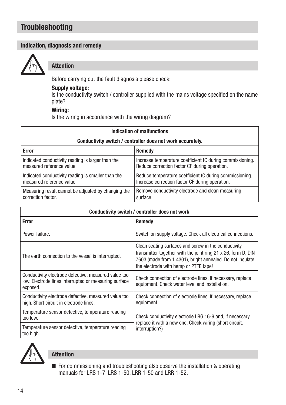# **Troubleshooting**

#### Indication, diagnosis and remedy



#### Attention

Before carrying out the fault diagnosis please check:

#### Supply voltage:

Is the conductivity switch / controller supplied with the mains voltage specified on the name plate?

#### Wiring:

Is the wiring in accordance with the wiring diagram?

| Indication of malfunctions                                 |                                                           |  |
|------------------------------------------------------------|-----------------------------------------------------------|--|
| Conductivity switch / controller does not work accurately. |                                                           |  |
| <b>Error</b>                                               | Remedy                                                    |  |
| Indicated conductivity reading is larger than the          | Increase temperature coefficient tC during commissioning. |  |
| measured reference value.                                  | Reduce correction factor CF during operation.             |  |
| Indicated conductivity reading is smaller than the         | Reduce temperature coefficient tC during commissioning.   |  |
| measured reference value.                                  | Increase correction factor CF during operation.           |  |
| Measuring result cannot be adjusted by changing the        | Remove conductivity electrode and clean measuring         |  |
| correction factor.                                         | surface.                                                  |  |

| Conductivity switch / controller does not work                                                                            |                                                                                                                                                                                                                             |  |
|---------------------------------------------------------------------------------------------------------------------------|-----------------------------------------------------------------------------------------------------------------------------------------------------------------------------------------------------------------------------|--|
| <b>Error</b>                                                                                                              | Remedy                                                                                                                                                                                                                      |  |
| Power failure.                                                                                                            | Switch on supply voltage. Check all electrical connections.                                                                                                                                                                 |  |
| The earth connection to the vessel is interrupted.                                                                        | Clean seating surfaces and screw in the conductivity<br>transmitter together with the joint ring 21 x 26, form D, DIN<br>7603 (made from 1.4301), bright annealed. Do not insulate<br>the electrode with hemp or PTFE tape! |  |
| Conductivity electrode defective, measured value too<br>low. Electrode lines interrupted or measuring surface<br>exposed. | Check connection of electrode lines. If necessary, replace<br>equipment. Check water level and installation.                                                                                                                |  |
| Conductivity electrode defective, measured value too<br>high. Short circuit in electrode lines.                           | Check connection of electrode lines. If necessary, replace<br>equipment.                                                                                                                                                    |  |
| Temperature sensor defective, temperature reading<br>too low.                                                             | Check conductivity electrode LRG 16-9 and, if necessary,<br>replace it with a new one. Check wiring (short circuit,<br>interruption?)                                                                                       |  |
| Temperature sensor defective, temperature reading<br>too high.                                                            |                                                                                                                                                                                                                             |  |



## Attention

 $\blacksquare$  For commissioning and troubleshooting also observe the installation & operating manuals for LRS 1-7, LRS 1-50, LRR 1-50 and LRR 1-52.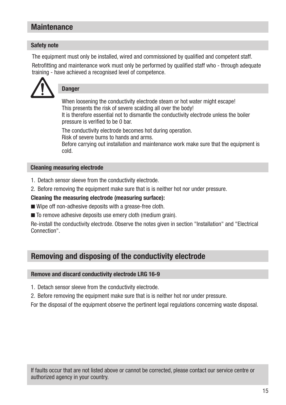# **Maintenance**

#### Safety note

The equipment must only be installed, wired and commissioned by qualified and competent staff.

Retrofitting and maintenance work must only be performed by qualified staff who - through adequate training - have achieved a recognised level of competence.



## **Danger**

When loosening the conductivity electrode steam or hot water might escape! This presents the risk of severe scalding all over the body!

It is therefore essential not to dismantle the conductivity electrode unless the boiler pressure is verified to be 0 bar.

The conductivity electrode becomes hot during operation.

Risk of severe burns to hands and arms.

Before carrying out installation and maintenance work make sure that the equipment is cold.

#### Cleaning measuring electrode

- 1. Detach sensor sleeve from the conductivity electrode.
- 2. Before removing the equipment make sure that is is neither hot nor under pressure.

#### Cleaning the measuring electrode (measuring surface):

- $\blacksquare$  Wipe off non-adhesive deposits with a grease-free cloth.
- $\blacksquare$  To remove adhesive deposits use emery cloth (medium grain).

Re-install the conductivity electrode. Observe the notes given in section "Installation" and "Electrical Connection".

# Removing and disposing of the conductivity electrode

#### Remove and discard conductivity electrode LRG 16-9

- 1. Detach sensor sleeve from the conductivity electrode.
- 2. Before removing the equipment make sure that is is neither hot nor under pressure.

For the disposal of the equipment observe the pertinent legal regulations concerning waste disposal.